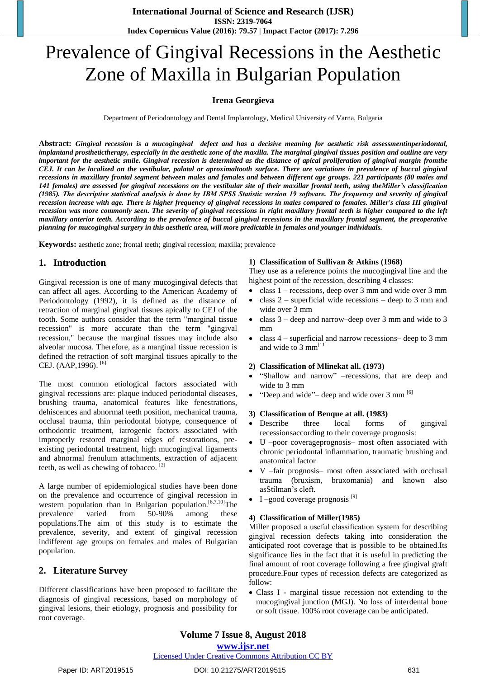# Prevalence of Gingival Recessions in the Aesthetic Zone of Maxilla in Bulgarian Population

## **Irena Georgieva**

Department of Periodontology and Dental Implantology, Medical University of Varna, Bulgaria

**Abstract:** *Gingival recession is a mucogingival defect and has a decisive meaning for aesthetic risk assessmentinperiodontal, implantand prosthetictherapy, especially in the aesthetic zone of the maxilla. The marginal gingival tissues position and outline are very important for the aesthetic smile. Gingival recession is determined as the distance of apical proliferation of gingival margin fromthe CEJ. It can be localized on the vestibular, palatal or aproximaltooth surface. There are variations in prevalence of buccal gingival recessions in maxillary frontal segment between males and females and between different age groups. 221 participants (80 males and 141 females) are assessed for gingival recessions on the vestibular site of their maxillar frontal teeth, using theMiller's classification (1985). The descriptive statistical analysis is done by IBM SPSS Statistic version 19 softwаre. Тhe frequency and severity of gingival recession increase with age. There is higher frequency of gingival recessions in males compared to females. Miller's class III gingival recession was more commonly seen. The severity of gingival recessions in right maxillary frontal teeth is higher compared to the left maxillary anterior teeth. According to the prevalence of buccal gingival recessions in the maxillary frontal segment, the preoperative planning for mucogingival surgery in this aesthetic area, will more predictable in females and younger individuals.*

**Keywords:** aesthetic zone; frontal teeth; gingival recession; maxilla; prevalence

# **1. Introduction**

Gingival recession is one of many mucogingival defects that can affect all ages. According to the American Academy of Periodontology (1992), it is defined as the distance of retraction of marginal gingival tissues apically to CEJ of the tooth. Some authors consider that the term "marginal tissue recession" is more accurate than the term "gingival recession," because the marginal tissues may include also alveolar mucosa. Therefore, as a marginal tissue recession is defined the retraction of soft marginal tissues apically to the CEJ. (AAP,1996).<sup>[6]</sup>

The most common etiological factors associated with gingival recessions are: plaque induced periodontal diseases, brushing trauma, anatomical features like fenestrations, dehiscences and abnormal teeth position, mechanical trauma, occlusal trauma, thin periodontal biotype, consequence of orthodontic treatment, iatrogenic factors associated with improperly restored marginal edges of restorations, preexisting periodontal treatment, high mucogingival ligaments and abnormal frenulum attachments, extraction of adjacent teeth, as well as chewing of tobacco.  $[2]$ 

A large number of epidemiological studies have been done on the prevalence and occurrence of gingival recession in western population than in Bulgarian population.<sup>[6,7,10]</sup>The prevalence varied from 50-90% among these populations.The aim of this study is to estimate the prevalence, severity, and extent of gingival recession indifferent age groups on females and males of Bulgarian population.

# **2. Literature Survey**

Different classifications have been proposed to facilitate the diagnosis of gingival recessions, based on morphology of gingival lesions, their etiology, prognosis and possibility for root coverage.

#### **1) Classification of Sullivan & Atkins (1968)**

They use as a reference points the mucogingival line and the highest point of the recession, describing 4 classes:

- class  $1$  recessions, deep over 3 mm and wide over 3 mm
- class 2 superficial wide recessions deep to 3 mm and wide over 3 mm
- class 3 deep and narrow–deep over 3 mm and wide to 3 mm
- class 4 superficial and narrow recessions– deep to 3 mm and wide to 3 mm<sup>[11]</sup>

#### **2) Classification of Mlinekat all. (1973)**

- "Shallow and narrow" –recessions, that are deep and wide to 3 mm
- "Deep and wide"– deep and wide over 3 mm  $^{[6]}$

#### **3) Classification of Benque at all. (1983)**

- Describe three local forms of gingival recessionsaccording to their coverage prognosis:
- U –poor coverageprognosis– most often associated with chronic periodontal inflammation, traumatic brushing and anatomical factor
- V –fair prognosis– most often associated with occlusal trauma (bruxism, bruxomania) and known also asStilman's cleft.
- $\bullet$  I –good coverage prognosis<sup>[9]</sup>

#### **4) Classification of Miller(1985)**

Miller proposed a useful classification system for describing gingival recession defects taking into consideration the anticipated root coverage that is possible to be obtained.Its significance lies in the fact that it is useful in predicting the final amount of root coverage following a free gingival graft procedure.Four types of recession defects are categorized as follow:

 Class I - marginal tissue recession not extending to the mucogingival junction (MGJ). No loss of interdental bone or soft tissue. 100% root coverage can be anticipated.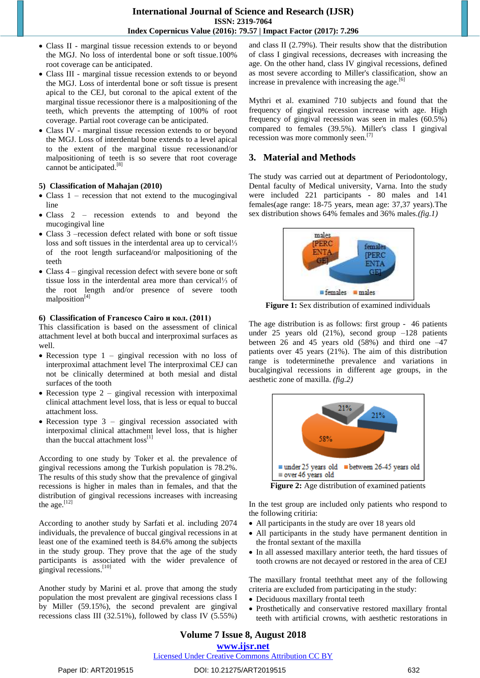- Class II marginal tissue recession extends to or beyond the MGJ. No loss of interdental bone or soft tissue.100% root coverage can be anticipated.
- Class III marginal tissue recession extends to or beyond the MGJ. Loss of interdental bone or soft tissue is present apical to the CEJ, but coronal to the apical extent of the marginal tissue recessionor there is a malpositioning of the teeth, which prevents the attempting of 100% of root coverage. Partial root coverage can be anticipated.
- Class IV marginal tissue recession extends to or beyond the MGJ. Loss of interdental bone extends to a level apical to the extent of the marginal tissue recessionand/or malpositioning of teeth is so severe that root coverage cannot be anticipated.<sup>[8]</sup>

#### **5) Classification of Mahajan (2010)**

- $\bullet$  Class 1 recession that not extend to the mucogingival line
- Class 2 recession extends to and beyond the mucogingival line
- Class 3 –recession defect related with bone or soft tissue loss and soft tissues in the interdental area up to cervical⅓ of the root length surfaceand/or malpositioning of the teeth
- Class 4 gingival recession defect with severe bone or soft tissue loss in the interdental area more than cervical⅓ of the root length and/or presence of severe tooth malposition<sup>[4]</sup>

#### **6) Classification of Francesco Cairo и кол. (2011)**

This classification is based on the assessment of clinical attachment level at both buccal and interproximal surfaces as well.

- Recession type  $1$  gingival recession with no loss of interproximal attachment level The interproximal CEJ can not be clinically determined at both mesial and distal surfaces of the tooth
- Recession type  $2$  gingival recession with interpoximal clinical attachment level loss, that is less or equal to buccal attachment loss.
- Recession type  $3$  gingival recession associated with interpoximal clinical attachment level loss, that is higher than the buccal attachment  $loss<sup>[1]</sup>$

According to one study by Toker et al. the prevalence of gingival recessions among the Turkish population is 78.2%. The results of this study show that the prevalence of gingival recessions is higher in males than in females, and that the distribution of gingival recessions increases with increasing the age. $^{[12]}$ 

According to another study by Sarfati et al. including 2074 individuals, the prevalence of buccal gingival recessions in at least one of the examined teeth is 84.6% among the subjects in the study group. They prove that the age of the study participants is associated with the wider prevalence of gingival recessions.[10]

Another study by Marini et al. prove that among the study population the most prevalent are gingival recessions class I by Miller (59.15%), the second prevalent are gingival recessions class III (32.51%), followed by class IV (5.55%) and class II (2.79%). Their results show that the distribution of class I gingival recessions, decreases with increasing the age. On the other hand, class IV gingival recessions, defined as most severe according to Miller's classification, show an increase in prevalence with increasing the age. $[6]$ 

Mythri et al. examined 710 subjects and found that the frequency of gingival recession increase with age. High frequency of gingival recession was seen in males (60.5%) compared to females (39.5%). Miller's class I gingival recession was more commonly seen.<sup>[7]</sup>

# **3. Material and Methods**

The study was carried out at department of Periodontology, Dental faculty of Medical university, Varna. Into the study were included 221 participants - 80 males and 141 females(age range: 18-75 years, mean age: 37,37 years).The sex distribution shows 64% females and 36% males.*(fig.1)*



**Figure 1:** Sex distribution of examined individuals

The age distribution is as follows: first group - 46 patients under 25 years old  $(21\%)$ , second group  $-128$  patients between 26 and 45 years old (58%) and third one –47 patients over 45 years (21%). The aim of this distribution range is todeterminethe prevalence and variations in bucalgingival recessions in different age groups, in the aesthetic zone of maxilla. *(fig.2)*



In the test group are included only patients who respond to the following critiria:

- All participants in the study are over 18 years old
- All participants in the study have permanent dentition in the frontal sextant of the maxilla
- In all assessed maxillary anterior teeth, the hard tissues of tooth crowns are not decayed or restored in the area of CEJ

The maxillary frontal teeththat meet any of the following criteria are excluded from participating in the study:

- Deciduous maxillary frontal teeth
- Prosthetically and conservative restored maxillary frontal teeth with artificial crowns, with aesthetic restorations in

# **Volume 7 Issue 8, August 2018**

## **<www.ijsr.net>**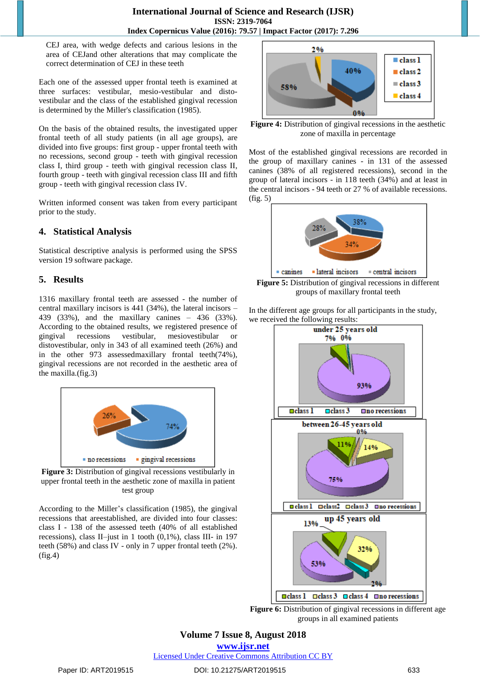CEJ area, with wedge defects and carious lesions in the area of CEJand other alterations that may complicate the correct determination of CEJ in these teeth

Each one of the assessed upper frontal teeth is examined at three surfaces: vestibular, mesio-vestibular and distovestibular and the class of the established gingival recession is determined by the Miller's classification (1985).

On the basis of the obtained results, the investigated upper frontal teeth of all study patients (in all age groups), are divided into five groups: first group - upper frontal teeth with no recessions, second group - teeth with gingival recession class I, third group - teeth with gingival recession class II, fourth group - teeth with gingival recession class III and fifth group - teeth with gingival recession class IV.

Written informed consent was taken from every participant prior to the study.

# **4. Statistical Analysis**

Statistical descriptive analysis is performed using the SPSS version 19 software package.

# **5. Results**

1316 maxillary frontal teeth are assessed - the number of central maxillary incisors is 441 (34%), the lateral incisors – 439 (33%), and the maxillary canines – 436 (33%). According to the obtained results, we registered presence of gingival recessions vestibular, mesiovestibular distovestibular, only in 343 of all examined teeth (26%) and in the other 973 assessedmaxillary frontal teeth(74%), gingival recessions are not recorded in the aesthetic area of the maxilla.(fig.3)



**Figure 3:** Distribution of gingival recessions vestibularly in upper frontal teeth in the aesthetic zone of maxilla in patient test group

According to the Miller's classification (1985), the gingival recessions that areestablished, are divided into four classes: class I - 138 of the assessed teeth (40% of all established recessions), class II–just in 1 tooth (0,1%), class III- in 197 teeth (58%) and class IV - only in 7 upper frontal teeth (2%). (fig.4)



**Figure 4:** Distribution of gingival recessions in the aesthetic zone of maxilla in percentage

Most of the established gingival recessions are recorded in the group of maxillary canines - in 131 of the assessed canines (38% of all registered recessions), second in the group of lateral incisors - in 118 teeth (34%) and at least in the central incisors - 94 teeth or 27 % of available recessions. (fig. 5)



**Figure 5:** Distribution of gingival recessions in different groups of maxillary frontal teeth

In the different age groups for all participants in the study, we received the following results:



**Figure 6:** Distribution of gingival recessions in different age groups in all examined patients

**Volume 7 Issue 8, August 2018**

**<www.ijsr.net>**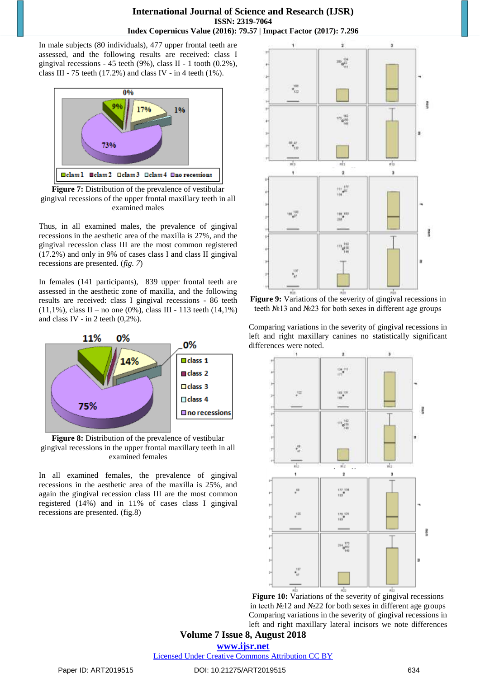## **International Journal of Science and Research (IJSR) ISSN: 2319-7064 Index Copernicus Value (2016): 79.57 | Impact Factor (2017): 7.296**

In male subjects (80 individuals), 477 upper frontal teeth are assessed, and the following results are received: class I gingival recessions - 45 teeth (9%), class II - 1 tooth (0.2%), class III - 75 teeth (17.2%) and class IV - in 4 teeth (1%).



**Figure 7:** Distribution of the prevalence of vestibular gingival recessions of the upper frontal maxillary teeth in all examined males

Thus, in all examined males, the prevalence of gingival recessions in the aesthetic area of the maxilla is 27%, and the gingival recession class III are the most common registered (17.2%) and only in 9% of cases class I and class II gingival recessions are presented. (*fig. 7*)

In females (141 participants), 839 upper frontal teeth are assessed in the aesthetic zone of maxilla, and the following results are received: class I gingival recessions - 86 teeth  $(11,1\%)$ , class II – no one (0%), class III - 113 teeth (14,1%) and class IV - in 2 teeth  $(0,2\%)$ .



**Figure 8:** Distribution of the prevalence of vestibular gingival recessions in the upper frontal maxillary teeth in all examined females

In all examined females, the prevalence of gingival recessions in the aesthetic area of the maxilla is 25%, and again the gingival recession class III are the most common registered (14%) and in 11% of cases class I gingival recessions are presented. (fig.8)



**Figure 9:** Variations of the severity of gingival recessions in teeth №13 and №23 for both sexes in different age groups

Comparing variations in the severity of gingival recessions in left and right maxillary canines no statistically significant differences were noted.



**Figure 10:** Variations of the severity of gingival recessions in teeth №12 and №22 for both sexes in different age groups Comparing variations in the severity of gingival recessions in left and right maxillary lateral incisors we note differences

**Volume 7 Issue 8, August 2018 <www.ijsr.net>**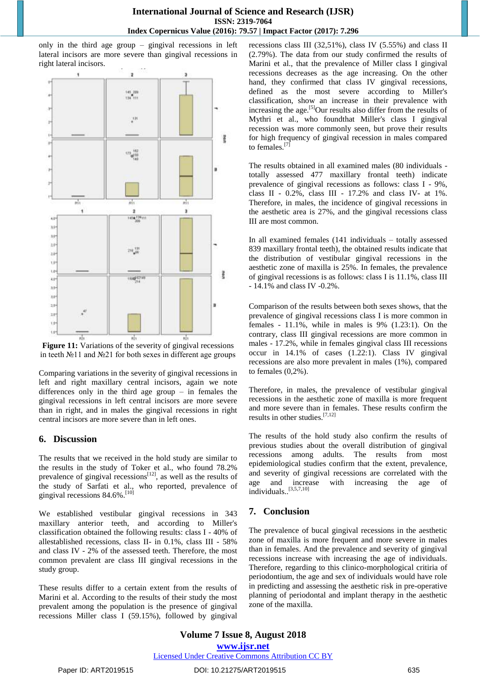only in the third age group – gingival recessions in left lateral incisors are more severe than gingival recessions in right lateral incisors.



Figure 11: Variations of the severity of gingival recessions in teeth №11 and №21 for both sexes in different age groups

Comparing variations in the severity of gingival recessions in left and right maxillary central incisors, again we note differences only in the third age group – in females the gingival recessions in left central incisors are more severe than in right, and in males the gingival recessions in right central incisors are more severe than in left ones.

# **6. Discussion**

The results that we received in the hold study are similar to the results in the study of Toker et al., who found 78.2% prevalence of gingival recessions $[12]$ , as well as the results of the study of Sarfati et al., who reported, prevalence of gingival recessions 84.6%. [10]

We established vestibular gingival recessions in 343 maxillary anterior teeth, and according to Miller's classification obtained the following results: class I - 40% of allestablished recessions, class II- in 0.1%, class III - 58% and class IV - 2% of the assessed teeth. Therefore, the most common prevalent are class III gingival recessions in the study group.

These results differ to a certain extent from the results of Marini et al. According to the results of their study the most prevalent among the population is the presence of gingival recessions Miller class I (59.15%), followed by gingival

recessions class III (32,51%), class IV (5.55%) and class II (2.79%). The data from our study confirmed the results of Marini et al., that the prevalence of Miller class I gingival recessions decreases as the age increasing. On the other hand, they confirmed that class IV gingival recessions, defined as the most severe according to Miller's classification, show an increase in their prevalence with increasing the age.<sup>[5]</sup>Our results also differ from the results of Mythri et al., who foundthat Miller's class I gingival recession was more commonly seen, but prove their results for high frequency of gingival recession in males compared to females.<sup>[7]</sup>

The results obtained in all examined males (80 individuals totally assessed 477 maxillary frontal teeth) indicate prevalence of gingival recessions as follows: class I - 9%, class II - 0.2%, class III - 17.2% and class IV- at 1%. Therefore, in males, the incidence of gingival recessions in the aesthetic area is 27%, and the gingival recessions class III are most common.

In all examined females (141 individuals – totally assessed 839 maxillary frontal teeth), the obtained results indicate that the distribution of vestibular gingival recessions in the aesthetic zone of maxilla is 25%. In females, the prevalence of gingival recessions is as follows: class I is 11.1%, class III - 14.1% and class IV -0.2%.

Comparison of the results between both sexes shows, that the prevalence of gingival recessions class I is more common in females - 11.1%, while in males is 9% (1.23:1). On the contrary, class III gingival recessions are more common in males - 17.2%, while in females gingival class III recessions occur in 14.1% of cases (1.22:1). Class IV gingival recessions are also more prevalent in males (1%), compared to females  $(0,2\%)$ .

Therefore, in males, the prevalence of vestibular gingival recessions in the aesthetic zone of maxilla is more frequent and more severe than in females. These results confirm the results in other studies.[7,12]

The results of the hold study also confirm the results of previous studies about the overall distribution of gingival recessions among adults. The results from most epidemiological studies confirm that the extent, prevalence, and severity of gingival recessions are correlated with the age and increase with increasing the age of individuals.. [3,5,7,10]

# **7. Conclusion**

The prevalence of bucal gingival recessions in the aesthetic zone of maxilla is more frequent and more severe in males than in females. And the prevalence and severity of gingival recessions increase with increasing the age of individuals. Therefore, regarding to this clinico-morphological critiria of periodontium, the age and sex of individuals would have role in predicting and assessing the aesthetic risk in pre-operative planning of periodontal and implant therapy in the aesthetic zone of the maxilla.